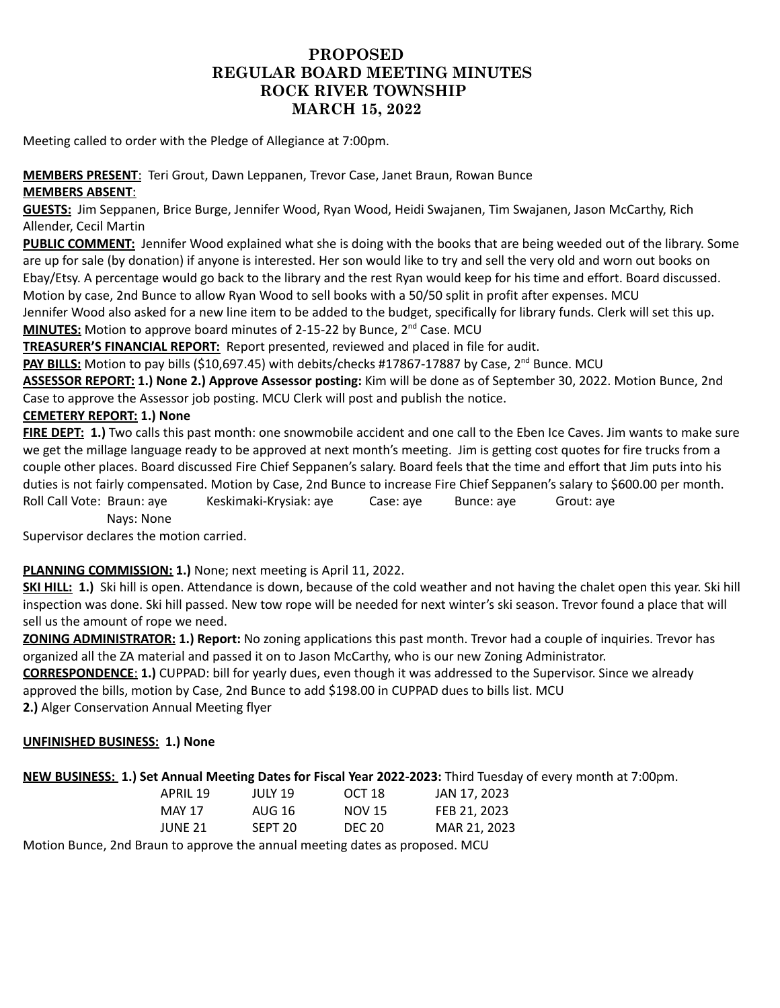# **PROPOSED REGULAR BOARD MEETING MINUTES ROCK RIVER TOWNSHIP MARCH 15, 2022**

Meeting called to order with the Pledge of Allegiance at 7:00pm.

## **MEMBERS PRESENT**: Teri Grout, Dawn Leppanen, Trevor Case, Janet Braun, Rowan Bunce **MEMBERS ABSENT**:

**GUESTS:** Jim Seppanen, Brice Burge, Jennifer Wood, Ryan Wood, Heidi Swajanen, Tim Swajanen, Jason McCarthy, Rich Allender, Cecil Martin

**PUBLIC COMMENT:** Jennifer Wood explained what she is doing with the books that are being weeded out of the library. Some are up for sale (by donation) if anyone is interested. Her son would like to try and sell the very old and worn out books on Ebay/Etsy. A percentage would go back to the library and the rest Ryan would keep for his time and effort. Board discussed. Motion by case, 2nd Bunce to allow Ryan Wood to sell books with a 50/50 split in profit after expenses. MCU

Jennifer Wood also asked for a new line item to be added to the budget, specifically for library funds. Clerk will set this up. **MINUTES:** Motion to approve board minutes of 2-15-22 by Bunce, 2<sup>nd</sup> Case. MCU

**TREASURER'S FINANCIAL REPORT:** Report presented, reviewed and placed in file for audit.

PAY BILLS: Motion to pay bills (\$10,697.45) with debits/checks #17867-17887 by Case, 2<sup>nd</sup> Bunce. MCU

**ASSESSOR REPORT: 1.) None 2.) Approve Assessor posting:** Kim will be done as of September 30, 2022. Motion Bunce, 2nd Case to approve the Assessor job posting. MCU Clerk will post and publish the notice.

## **CEMETERY REPORT: 1.) None**

**FIRE DEPT: 1.)** Two calls this past month: one snowmobile accident and one call to the Eben Ice Caves. Jim wants to make sure we get the millage language ready to be approved at next month's meeting. Jim is getting cost quotes for fire trucks from a couple other places. Board discussed Fire Chief Seppanen's salary. Board feels that the time and effort that Jim puts into his duties is not fairly compensated. Motion by Case, 2nd Bunce to increase Fire Chief Seppanen's salary to \$600.00 per month. Roll Call Vote: Braun: aye Keskimaki-Krysiak: aye Case: aye Bunce: aye Grout: aye Nays: None

Supervisor declares the motion carried.

### **PLANNING COMMISSION: 1.)** None; next meeting is April 11, 2022.

**SKI HILL: 1.)** Ski hill is open. Attendance is down, because of the cold weather and not having the chalet open this year. Ski hill inspection was done. Ski hill passed. New tow rope will be needed for next winter's ski season. Trevor found a place that will sell us the amount of rope we need.

**ZONING ADMINISTRATOR: 1.) Report:** No zoning applications this past month. Trevor had a couple of inquiries. Trevor has organized all the ZA material and passed it on to Jason McCarthy, who is our new Zoning Administrator.

**CORRESPONDENCE**: **1.)** CUPPAD: bill for yearly dues, even though it was addressed to the Supervisor. Since we already approved the bills, motion by Case, 2nd Bunce to add \$198.00 in CUPPAD dues to bills list. MCU

**2.)** Alger Conservation Annual Meeting flyer

### **UNFINISHED BUSINESS: 1.) None**

**NEW BUSINESS: 1.) Set Annual Meeting Dates for Fiscal Year 2022-2023:** Third Tuesday of every month at 7:00pm.

| APRIL 19 | JULY 19 | OCT 18        | JAN 17, 2023 |
|----------|---------|---------------|--------------|
| MAY 17   | AUG 16  | NOV 15        | FEB 21, 2023 |
| JUNE 21. | SFPT 20 | <b>DEC 20</b> | MAR 21, 2023 |

Motion Bunce, 2nd Braun to approve the annual meeting dates as proposed. MCU